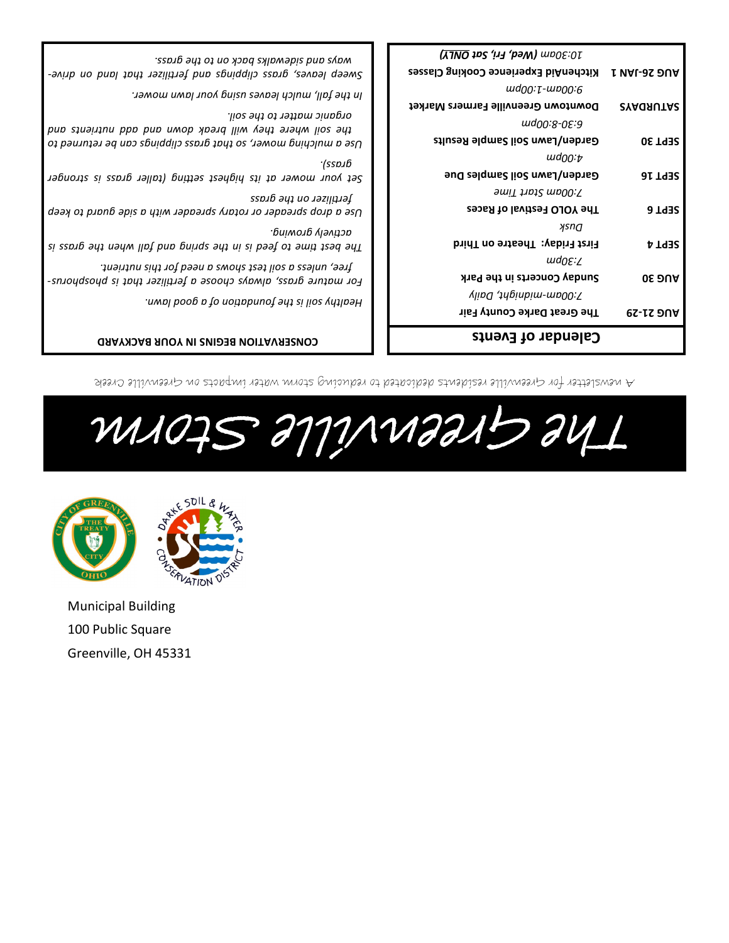Municipal Building 100 Public Square Greenville, OH 45331



# Greenville Storm The

A newsletter for Greenville residents dedicated to reducing storm water impacts on Greenville Creek

| <b>CONSERVATION BEGINS IN YOUR BACKYARD</b>                                                                                                   | Calendar of Events                  |  |
|-----------------------------------------------------------------------------------------------------------------------------------------------|-------------------------------------|--|
| 7:00am-midnight, Daily<br>Healthy soil is the foundation of a good lawn.<br>The Great Darke County Fair                                       | <b>AUG 21-29</b>                    |  |
| Sunday Concerts in the Park<br>For mature grass, always choose a fertilizer that is phosphorus-                                               | <b>05 DUA</b>                       |  |
| free, unless a soil test shows a need for this nutrient.                                                                                      | $\omega$ d $\Omega$ E: $\angle$     |  |
| риімолр үІэлдэр.<br>First Friday: Theatre on Third<br>The best time to feed is in the spring only high when the grass is                      | иsnа<br><b>SEPT4</b>                |  |
| Jertilizer on the gross<br>The YOLO Festival of Races<br>Use a drop spreader or rotary spreader with a side guard to keep                     | <b>SEPT 6</b>                       |  |
| 7:00am Start Time                                                                                                                             |                                     |  |
| (ssp.ıb<br>Garden/Lawn Soil Samples Due<br>Set your mower at its highest setting (taller grass is stronger                                    | $\mu$ d $_{00:U}$<br><b>SEPT 16</b> |  |
| Garden/Lawn Soil Sample Results<br>Of bandching mower, so that great clippings can be returned to                                             | <b>SEPT 30</b>                      |  |
| organic matter to the soil.<br>wd00:8-0E:9<br>the soil where they will break down and abo hairients and                                       |                                     |  |
| $\mu$ d $\mu$ ; $\tau$ - $\mu$ p $\mu$ ; $\epsilon$<br>In the fall, mulch leaves using your lawn mower.<br>Downtown Greenville Farmers Market | <b>SYAGRUTAS</b>                    |  |
| <b>KitchenAid Experience Cooking Classes</b><br>Sweep leaves, group is the pape and fertilizer that land on drive-                            | <b>I VAL-3S DUA</b>                 |  |
| 10:30am (Wed, Fri, Sat ONLY)<br>essnyg shi ot no x bod εχιονοθίε bno εγονι.                                                                   |                                     |  |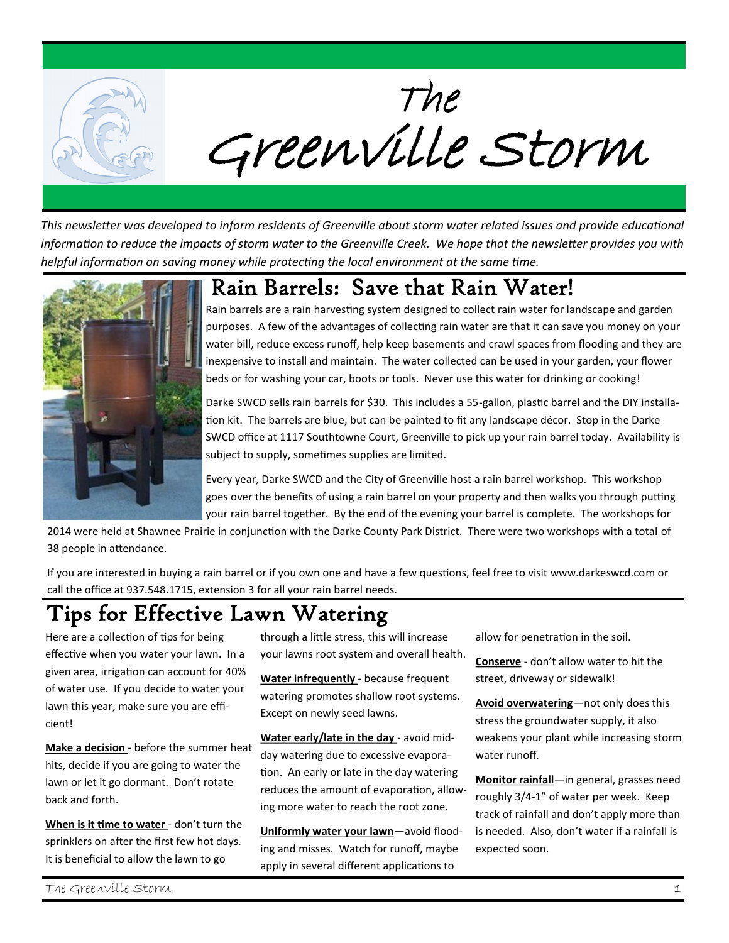

*This newsletter was developed to inform residents of Greenville about storm water related issues and provide educational information to reduce the impacts of storm water to the Greenville Creek. We hope that the newsletter provides you with helpful information on saving money while protecting the local environment at the same time.*



#### Rain Barrels: Save that Rain Water!

Rain barrels are a rain harvesting system designed to collect rain water for landscape and garden purposes. A few of the advantages of collecting rain water are that it can save you money on your water bill, reduce excess runoff, help keep basements and crawl spaces from flooding and they are inexpensive to install and maintain. The water collected can be used in your garden, your flower beds or for washing your car, boots or tools. Never use this water for drinking or cooking!

Darke SWCD sells rain barrels for \$30. This includes a 55-gallon, plastic barrel and the DIY installation kit. The barrels are blue, but can be painted to fit any landscape décor. Stop in the Darke SWCD office at 1117 Southtowne Court, Greenville to pick up your rain barrel today. Availability is subject to supply, sometimes supplies are limited.

Every year, Darke SWCD and the City of Greenville host a rain barrel workshop. This workshop goes over the benefits of using a rain barrel on your property and then walks you through putting your rain barrel together. By the end of the evening your barrel is complete. The workshops for

2014 were held at Shawnee Prairie in conjunction with the Darke County Park District. There were two workshops with a total of 38 people in attendance.

If you are interested in buying a rain barrel or if you own one and have a few questions, feel free to visit www.darkeswcd.com or call the office at 937.548.1715, extension 3 for all your rain barrel needs.

#### Tips for Effective Lawn Watering

Here are a collection of tips for being effective when you water your lawn. In a given area, irrigation can account for 40% of water use. If you decide to water your lawn this year, make sure you are efficient!

**Make a decision** - before the summer heat hits, decide if you are going to water the lawn or let it go dormant. Don't rotate back and forth.

**When is it time to water** - don't turn the sprinklers on after the first few hot days. It is beneficial to allow the lawn to go

through a little stress, this will increase your lawns root system and overall health.

**Water infrequently** - because frequent watering promotes shallow root systems. Except on newly seed lawns.

**Water early/late in the day** - avoid midday watering due to excessive evaporation. An early or late in the day watering reduces the amount of evaporation, allowing more water to reach the root zone.

**Uniformly water your lawn**—avoid flooding and misses. Watch for runoff, maybe apply in several different applications to

allow for penetration in the soil.

**Conserve** - don't allow water to hit the street, driveway or sidewalk!

**Avoid overwatering**—not only does this stress the groundwater supply, it also weakens your plant while increasing storm water runoff.

**Monitor rainfall**—in general, grasses need roughly 3/4-1" of water per week. Keep track of rainfall and don't apply more than is needed. Also, don't water if a rainfall is expected soon.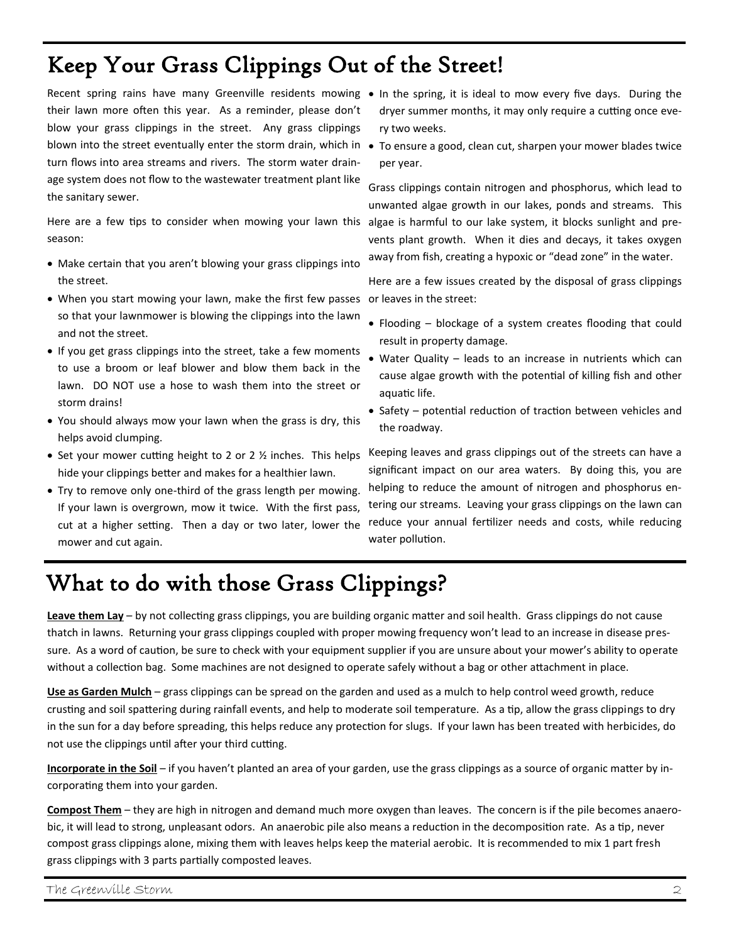#### Keep Your Grass Clippings Out of the Street!

their lawn more often this year. As a reminder, please don't blow your grass clippings in the street. Any grass clippings turn flows into area streams and rivers. The storm water drainage system does not flow to the wastewater treatment plant like the sanitary sewer.

season:

- Make certain that you aren't blowing your grass clippings into the street.
- When you start mowing your lawn, make the first few passes or leaves in the street: so that your lawnmower is blowing the clippings into the lawn and not the street.
- If you get grass clippings into the street, take a few moments to use a broom or leaf blower and blow them back in the lawn. DO NOT use a hose to wash them into the street or storm drains!
- You should always mow your lawn when the grass is dry, this helps avoid clumping.
- Set your mower cutting height to 2 or 2  $\frac{1}{2}$  inches. This helps hide your clippings better and makes for a healthier lawn.
- Try to remove only one-third of the grass length per mowing. If your lawn is overgrown, mow it twice. With the first pass, cut at a higher setting. Then a day or two later, lower the mower and cut again.
- Recent spring rains have many Greenville residents mowing . In the spring, it is ideal to mow every five days. During the dryer summer months, it may only require a cutting once every two weeks.
- blown into the street eventually enter the storm drain, which in To ensure a good, clean cut, sharpen your mower blades twice per year.

Here are a few tips to consider when mowing your lawn this algae is harmful to our lake system, it blocks sunlight and pre-Grass clippings contain nitrogen and phosphorus, which lead to unwanted algae growth in our lakes, ponds and streams. This vents plant growth. When it dies and decays, it takes oxygen away from fish, creating a hypoxic or "dead zone" in the water.

Here are a few issues created by the disposal of grass clippings

- Flooding blockage of a system creates flooding that could result in property damage.
- Water Quality leads to an increase in nutrients which can cause algae growth with the potential of killing fish and other aquatic life.
- Safety potential reduction of traction between vehicles and the roadway.

Keeping leaves and grass clippings out of the streets can have a significant impact on our area waters. By doing this, you are helping to reduce the amount of nitrogen and phosphorus entering our streams. Leaving your grass clippings on the lawn can reduce your annual fertilizer needs and costs, while reducing water pollution.

#### What to do with those Grass Clippings?

**Leave them Lay** – by not collecting grass clippings, you are building organic matter and soil health. Grass clippings do not cause thatch in lawns. Returning your grass clippings coupled with proper mowing frequency won't lead to an increase in disease pressure. As a word of caution, be sure to check with your equipment supplier if you are unsure about your mower's ability to operate without a collection bag. Some machines are not designed to operate safely without a bag or other attachment in place.

**Use as Garden Mulch** – grass clippings can be spread on the garden and used as a mulch to help control weed growth, reduce crusting and soil spattering during rainfall events, and help to moderate soil temperature. As a tip, allow the grass clippings to dry in the sun for a day before spreading, this helps reduce any protection for slugs. If your lawn has been treated with herbicides, do not use the clippings until after your third cutting.

**Incorporate in the Soil** – if you haven't planted an area of your garden, use the grass clippings as a source of organic matter by incorporating them into your garden.

**Compost Them** – they are high in nitrogen and demand much more oxygen than leaves. The concern is if the pile becomes anaerobic, it will lead to strong, unpleasant odors. An anaerobic pile also means a reduction in the decomposition rate. As a tip, never compost grass clippings alone, mixing them with leaves helps keep the material aerobic. It is recommended to mix 1 part fresh grass clippings with 3 parts partially composted leaves.